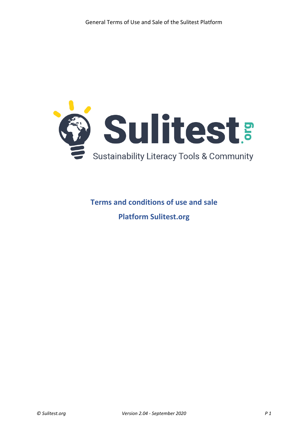

# **Terms and conditions of use and sale Platform Sulitest.org**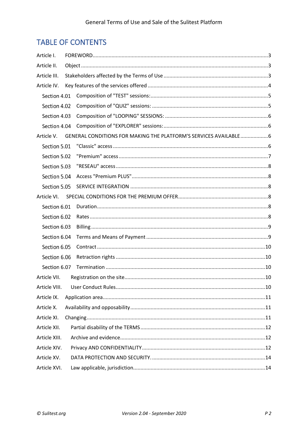# **TABLE OF CONTENTS**

| Article I.    |  |                                                                               |  |  |  |  |  |
|---------------|--|-------------------------------------------------------------------------------|--|--|--|--|--|
| Article II.   |  |                                                                               |  |  |  |  |  |
| Article III.  |  |                                                                               |  |  |  |  |  |
| Article IV.   |  |                                                                               |  |  |  |  |  |
| Section 4.01  |  |                                                                               |  |  |  |  |  |
| Section 4.02  |  |                                                                               |  |  |  |  |  |
| Section 4.03  |  |                                                                               |  |  |  |  |  |
| Section 4.04  |  |                                                                               |  |  |  |  |  |
|               |  | Article V. GENERAL CONDITIONS FOR MAKING THE PLATFORM'S SERVICES AVAILABLE  6 |  |  |  |  |  |
| Section 5.01  |  |                                                                               |  |  |  |  |  |
| Section 5.02  |  |                                                                               |  |  |  |  |  |
| Section 5.03  |  |                                                                               |  |  |  |  |  |
| Section 5.04  |  |                                                                               |  |  |  |  |  |
| Section 5.05  |  |                                                                               |  |  |  |  |  |
| Article VI.   |  |                                                                               |  |  |  |  |  |
| Section 6.01  |  |                                                                               |  |  |  |  |  |
| Section 6.02  |  |                                                                               |  |  |  |  |  |
| Section 6.03  |  |                                                                               |  |  |  |  |  |
| Section 6.04  |  |                                                                               |  |  |  |  |  |
| Section 6.05  |  |                                                                               |  |  |  |  |  |
| Section 6.06  |  |                                                                               |  |  |  |  |  |
| Section 6.07  |  |                                                                               |  |  |  |  |  |
| Article VII.  |  |                                                                               |  |  |  |  |  |
| Article VIII. |  |                                                                               |  |  |  |  |  |
| Article IX.   |  |                                                                               |  |  |  |  |  |
| Article X.    |  |                                                                               |  |  |  |  |  |
| Article XI.   |  |                                                                               |  |  |  |  |  |
| Article XII.  |  |                                                                               |  |  |  |  |  |
| Article XIII. |  |                                                                               |  |  |  |  |  |
| Article XIV.  |  |                                                                               |  |  |  |  |  |
| Article XV.   |  |                                                                               |  |  |  |  |  |
| Article XVI.  |  |                                                                               |  |  |  |  |  |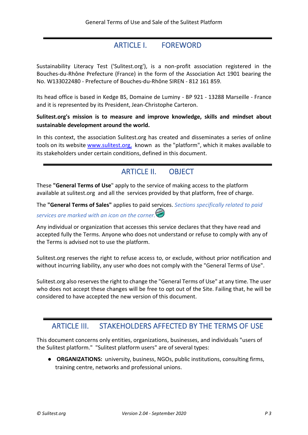### ARTICLE I. FOREWORD

<span id="page-2-0"></span>Sustainability Literacy Test ('Sulitest.org'), is a non-profit association registered in the Bouches-du-Rhône Prefecture (France) in the form of the Association Act 1901 bearing the No. W133022480 - Prefecture of Bouches-du-Rhône SIREN - 812 161 859.

Its head office is based in Kedge BS, Domaine de Luminy - BP 921 - 13288 Marseille - France and it is represented by its President, Jean-Christophe Carteron.

#### **Sulitest.org's mission is to measure and improve knowledge, skills and mindset about sustainable development around the world.**

In this context, the association Sulitest.org has created and disseminates a series of online tools on its website [www.sulitest.org,](http://www.sulitest.org/) known as the "platform", which it makes available to its stakeholders under certain conditions, defined in this document.

# ARTICLE II. OBJECT

<span id="page-2-1"></span>These **"General Terms of Use**" apply to the service of making access to the platform available at sulitest.org and all the services provided by that platform, free of charge.

The **"General Terms of Sales"** applies to paid services. *Sections specifically related to paid* 

# *services are marked with an icon on the corner.*

Any individual or organization that accesses this service declares that they have read and accepted fully the Terms. Anyone who does not understand or refuse to comply with any of the Terms is advised not to use the platform.

Sulitest.org reserves the right to refuse access to, or exclude, without prior notification and without incurring liability, any user who does not comply with the "General Terms of Use".

Sulitest.org also reserves the right to change the "General Terms of Use" at any time. The user who does not accept these changes will be free to opt out of the Site. Failing that, he will be considered to have accepted the new version of this document.

### <span id="page-2-2"></span>ARTICLE III. STAKEHOLDERS AFFECTED BY THE TERMS OF USE

This document concerns only entities, organizations, businesses, and individuals "users of the Sulitest platform." "Sulitest platform users" are of several types:

● **ORGANIZATIONS:** university, business, NGOs, public institutions, consulting firms, training centre, networks and professional unions.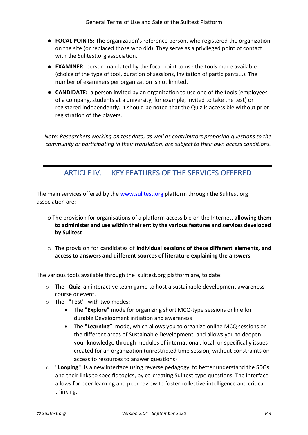- **FOCAL POINTS:** The organization's reference person, who registered the organization on the site (or replaced those who did). They serve as a privileged point of contact with the Sulitest.org association.
- **EXAMINER:** person mandated by the focal point to use the tools made available (choice of the type of tool, duration of sessions, invitation of participants...). The number of examiners per organization is not limited.
- **CANDIDATE:** a person invited by an organization to use one of the tools (employees of a company, students at a university, for example, invited to take the test) or registered independently. It should be noted that the Quiz is accessible without prior registration of the players.

*Note: Researchers working on test data, as well as contributors proposing questions to the community or participating in their translation, are subject to their own access conditions.*

# ARTICLE IV. KEY FEATURES OF THE SERVICES OFFERED

<span id="page-3-0"></span>The main services offered by the www.sulitest.org platform through the Sulitest.org association are:

- o The provision for organisations of a platform accessible on the Internet**, allowing them to administer and use within their entity the various features and services developed by Sulitest**
- o The provision for candidates of **individual sessions of these different elements, and access to answers and different sources of literature explaining the answers**

The various tools available through the sulitest.org platform are, to date:

- o The **Quiz**, an interactive team game to host a sustainable development awareness course or event.
- o The **"Test"** with two modes:
	- The **"Explore"** mode for organizing short MCQ-type sessions online for durable Development initiation and awareness
	- The **"Learning"** mode, which allows you to organize online MCQ sessions on the different areas of Sustainable Development, and allows you to deepen your knowledge through modules of international, local, or specifically issues created for an organization (unrestricted time session, without constraints on access to resources to answer questions)
- o **"Looping"** is a new interface using reverse pedagogy to better understand the SDGs and their links to specific topics, by co-creating Sulitest-type questions. The interface allows for peer learning and peer review to foster collective intelligence and critical thinking.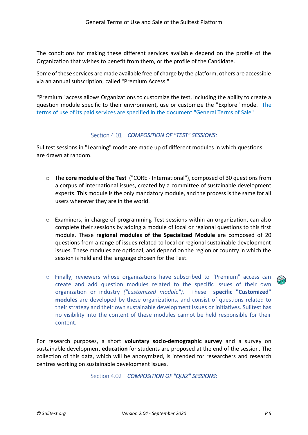The conditions for making these different services available depend on the profile of the Organization that wishes to benefit from them, or the profile of the Candidate.

Some of these services are made available free of charge by the platform, others are accessible via an annual subscription, called "Premium Access."

"Premium" access allows Organizations to customize the test, including the ability to create a question module specific to their environment, use or customize the "Explore" mode. The terms of use of its paid services are specified in the document "General Terms of Sale"

#### *COMPOSITION OF "TEST" SESSIONS:*

<span id="page-4-0"></span>Sulitest sessions in "Learning" mode are made up of different modules in which questions are drawn at random.

- o The **core module of the Test** ("CORE International"), composed of 30 questions from a corpus of international issues, created by a committee of sustainable development experts. This module is the only mandatory module, and the process is the same for all users wherever they are in the world.
- o Examiners, in charge of programming Test sessions within an organization, can also complete their sessions by adding a module of local or regional questions to this first module. These **regional modules of the Specialized Module** are composed of 20 questions from a range of issues related to local or regional sustainable development issues. These modules are optional, and depend on the region or country in which the session is held and the language chosen for the Test.
- o Finally, reviewers whose organizations have subscribed to "Premium" access can create and add question modules related to the specific issues of their own organization or industry *("customized module").* These **specific "Customized" modules** are developed by these organizations, and consist of questions related to their strategy and their own sustainable development issues or initiatives. Sulitest has no visibility into the content of these modules cannot be held responsible for their content.

<span id="page-4-1"></span>For research purposes, a short **voluntary socio-demographic survey** and a survey on sustainable development **education** for students are proposed at the end of the session. The collection of this data, which will be anonymized, is intended for researchers and research centres working on sustainable development issues.

Section 4.02 **COMPOSITION OF "QUIZ" SESSIONS:**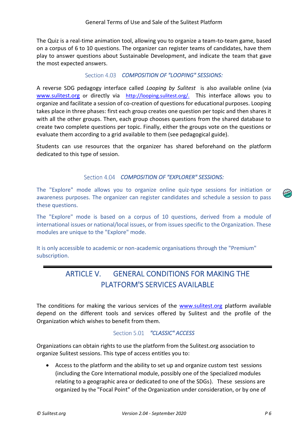The Quiz is a real-time animation tool, allowing you to organize a team-to-team game, based on a corpus of 6 to 10 questions. The organizer can register teams of candidates, have them play to answer questions about Sustainable Development, and indicate the team that gave the most expected answers.

#### *COMPOSITION OF "LOOPING" SESSIONS:*

<span id="page-5-0"></span>A reverse SDG pedagogy interface called *Looping by Sulitest* is also available online (via [www.sulitest.org](http://www.sulitest.org/) or directly via [http://looping.sulitest.org/.](http://looping.sulitest.org/) This interface allows you to organize and facilitate a session of co-creation of questions for educational purposes. Looping takes place in three phases: first each group creates one question per topic and then shares it with all the other groups. Then, each group chooses questions from the shared database to create two complete questions per topic. Finally, either the groups vote on the questions or evaluate them according to a grid available to them (see pedagogical guide).

Students can use resources that the organizer has shared beforehand on the platform dedicated to this type of session.

#### *COMPOSITION OF "EXPLORER" SESSIONS:*

<span id="page-5-1"></span>The "Explore" mode allows you to organize online quiz-type sessions for initiation or awareness purposes. The organizer can register candidates and schedule a session to pass these questions.

The "Explore" mode is based on a corpus of 10 questions, derived from a module of international issues or national/local issues, or from issues specific to the Organization. These modules are unique to the "Explore" mode.

<span id="page-5-2"></span>It is only accessible to academic or non-academic organisations through the "Premium" subscription.

# ARTICLE V. GENERAL CONDITIONS FOR MAKING THE PLATFORM'S SERVICES AVAILABLE

The conditions for making the various services of the www.sulitest.org platform available depend on the different tools and services offered by Sulitest and the profile of the Organization which wishes to benefit from them.

#### *"CLASSIC" ACCESS*

<span id="page-5-3"></span>Organizations can obtain rights to use the platform from the Sulitest.org association to organize Sulitest sessions. This type of access entitles you to:

• Access to the platform and the ability to set up and organize custom test sessions (including the Core International module, possibly one of the Specialized modules relating to a geographic area or dedicated to one of the SDGs). These sessions are organized by the "Focal Point" of the Organization under consideration, or by one of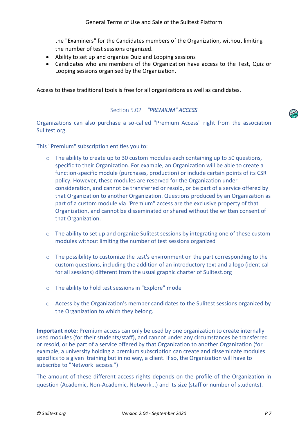the "Examiners" for the Candidates members of the Organization, without limiting the number of test sessions organized.

- Ability to set up and organize Quiz and Looping sessions
- Candidates who are members of the Organization have access to the Test, Quiz or Looping sessions organised by the Organization.

Access to these traditional tools is free for all organizations as well as candidates.

#### *"PREMIUM" ACCESS*

<span id="page-6-0"></span>Organizations can also purchase a so-called "Premium Access" right from the association Sulitest.org.

This "Premium" subscription entitles you to:

- $\circ$  The ability to create up to 30 custom modules each containing up to 50 questions, specific to their Organization. For example, an Organization will be able to create a function-specific module (purchases, production) or include certain points of its CSR policy. However, these modules are reserved for the Organization under consideration, and cannot be transferred or resold, or be part of a service offered by that Organization to another Organization. Questions produced by an Organization as part of a custom module via "Premium" access are the exclusive property of that Organization, and cannot be disseminated or shared without the written consent of that Organization.
- o The ability to set up and organize Sulitest sessions by integrating one of these custom modules without limiting the number of test sessions organized
- o The possibility to customize the test's environment on the part corresponding to the custom questions, including the addition of an introductory text and a logo (identical for all sessions) different from the usual graphic charter of Sulitest.org
- o The ability to hold test sessions in "Explore" mode
- o Access by the Organization's member candidates to the Sulitest sessions organized by the Organization to which they belong.

**Important note:** Premium access can only be used by one organization to create internally used modules (for their students/staff), and cannot under any circumstances be transferred or resold, or be part of a service offered by that Organization to another Organization (for example, a university holding a premium subscription can create and disseminate modules specifics to a given training but in no way, a client. If so, the Organization will have to subscribe to "Network access.")

The amount of these different access rights depends on the profile of the Organization in question (Academic, Non-Academic, Network...) and its size (staff or number of students).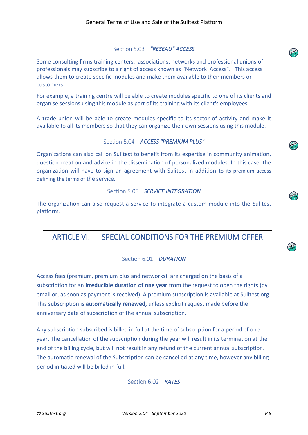#### *"RESEAU" ACCESS*

<span id="page-7-0"></span>Some consulting firms training centers, associations, networks and professional unions of professionals may subscribe to a right of access known as "Network Access". This access allows them to create specific modules and make them available to their members or customers

For example, a training centre will be able to create modules specific to one of its clients and organise sessions using this module as part of its training with its client's employees.

A trade union will be able to create modules specific to its sector of activity and make it available to all its members so that they can organize their own sessions using this module.

#### Section 5.04 ACCESS "PREMIUM PLUS"

<span id="page-7-1"></span>Organizations can also call on Sulitest to benefit from its expertise in community animation, question creation and advice in the dissemination of personalized modules. In this case, the organization will have to sign an agreement with Sulitest in addition to its premium access defining the terms of the service.

#### Section 5.05 **SERVICE INTEGRATION**

<span id="page-7-2"></span>The organization can also request a service to integrate a custom module into the Sulitest platform.

# <span id="page-7-3"></span>ARTICLE VI. SPECIAL CONDITIONS FOR THE PREMIUM OFFER

#### Section 6.01 **DURATION**

<span id="page-7-4"></span>Access fees (premium, premium plus and networks) are charged on the basis of a subscription for an **irreducible duration of one year** from the request to open the rights (by email or, as soon as payment is received). A premium subscription is available at Sulitest.org. This subscription is **automatically renewed,** unless explicit request made before the anniversary date of subscription of the annual subscription.

<span id="page-7-5"></span>Any subscription subscribed is billed in full at the time of subscription for a period of one year. The cancellation of the subscription during the year will result in its termination at the end of the billing cycle, but will not result in any refund of the current annual subscription. The automatic renewal of the Subscription can be cancelled at any time, however any billing period initiated will be billed in full.

Section 6.02 RATES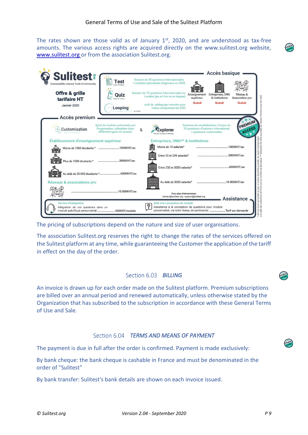The rates shown are those valid as of January  $1<sup>st</sup>$ , 2020, and are understood as tax-free amounts. The various access rights are acquired directly on the www.sulitest.org website, [www.sulitest.org](http://www.sulitest.org/) or from the association Sulitest.org.

| <b>Sulitest:</b><br>Sustainability Literacy Tools & Community                                                 | Test                                                                                              | Session de 30 questions Internationales<br>+ modules spécialisés (régionaux ou ODD)                                                                           |                                             | Accès basique                                                                   |                                                                                                                                                        |  |  |
|---------------------------------------------------------------------------------------------------------------|---------------------------------------------------------------------------------------------------|---------------------------------------------------------------------------------------------------------------------------------------------------------------|---------------------------------------------|---------------------------------------------------------------------------------|--------------------------------------------------------------------------------------------------------------------------------------------------------|--|--|
| Offre & grille<br>tarifaire HT<br>Janvier 2020                                                                | Ouiz<br>Looping<br>by Suthern                                                                     | Session de 10 questions Internationales ou<br>Locales (jeu en live ou en équipe)<br>outil de pédagogie inversée pour<br>mieux comprendre les ODD              | Enseignement<br>supérieur<br><b>Gratuit</b> | Entreprises, ONG<br>& institutions<br>Gratuit                                   | Réseau &<br>um pour les ONG<br>Association pro<br><b>Gratuit</b>                                                                                       |  |  |
| Accès premium                                                                                                 |                                                                                                   |                                                                                                                                                               |                                             |                                                                                 |                                                                                                                                                        |  |  |
| Customization                                                                                                 | Ajout de module customisés par<br>l'organisation, utilisables dans<br>différents types de session | &<br>Explorer<br>oover Conseges & Challenge                                                                                                                   | + questions customisées                     | Sessions de sensibilisation. Corpus de<br>10 questions «Explorer» International | PREMIUM<br>ACCESS                                                                                                                                      |  |  |
| Établissement d'enseignement supérieur<br>Entreprises, ONG <sup>**</sup> & institutions                       |                                                                                                   |                                                                                                                                                               |                                             |                                                                                 |                                                                                                                                                        |  |  |
| Moins de 1000 étudiants * 1000€HT/an                                                                          |                                                                                                   | Moins de 10 salariés*                                                                                                                                         |                                             |                                                                                 |                                                                                                                                                        |  |  |
|                                                                                                               |                                                                                                   | Entre 10 et 249 salariés*                                                                                                                                     |                                             |                                                                                 |                                                                                                                                                        |  |  |
| onolg<br>Plus de 1000 étudiants *                                                                             | 3000€HT/an                                                                                        | Entre 250 et 5000 salariés*                                                                                                                                   |                                             |                                                                                 | accessible à tous, et le plus équitable possible, les tarifs correspondent<br>stitutions (ETP) et non au nombre de test passé. ** Réduction de 30% acc |  |  |
| <b>Réseaux &amp; associations pro</b>                                                                         |                                                                                                   | Au delà de 5000 salariés*                                                                                                                                     |                                             |                                                                                 |                                                                                                                                                        |  |  |
|                                                                                                               |                                                                                                   | Pour plus d'informations<br>contact@sulitest.org · support@sulitest.org                                                                                       |                                             |                                                                                 | Assistance                                                                                                                                             |  |  |
| Service d'intégration<br>Intégration de vos questions dans un<br>module spécifique personnalisé 500€HT/module |                                                                                                   | Aide à la conception de module<br>9<br>Assistance à la conception de questions pour module<br>personnalisé, via notre réseau de partenaires Tarif sur demande |                                             |                                                                                 |                                                                                                                                                        |  |  |

The pricing of subscriptions depend on the nature and size of user organisations.

The association Sulitest.org reserves the right to change the rates of the services offered on the Sulitest platform at any time, while guaranteeing the Customer the application of the tariff in effect on the day of the order.

#### Section 6.03 **BILLING**

<span id="page-8-0"></span>An invoice is drawn up for each order made on the Sulitest platform. Premium subscriptions are billed over an annual period and renewed automatically, unless otherwise stated by the Organization that has subscribed to the subscription in accordance with these General Terms of Use and Sale.

#### *TERMS AND MEANS OF PAYMENT*

<span id="page-8-1"></span>The payment is due in full after the order is confirmed. Payment is made exclusively:

By bank cheque: the bank cheque is cashable in France and must be denominated in the order of "Sulitest"

By bank transfer: Sulitest's bank details are shown on each invoice issued.



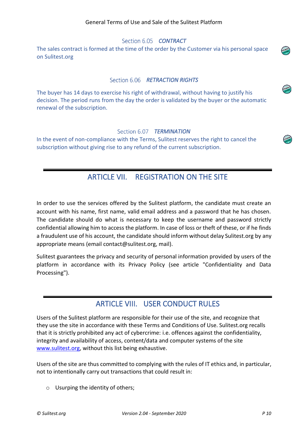#### Section 6.05 **CONTRACT**

<span id="page-9-0"></span>The sales contract is formed at the time of the order by the Customer via his personal space on Sulitest.org

#### *RETRACTION RIGHTS*

<span id="page-9-1"></span>The buyer has 14 days to exercise his right of withdrawal, without having to justify his decision. The period runs from the day the order is validated by the buyer or the automatic renewal of the subscription.

#### Section 6.07 **TERMINATION**

<span id="page-9-3"></span><span id="page-9-2"></span>In the event of non-compliance with the Terms, Sulitest reserves the right to cancel the subscription without giving rise to any refund of the current subscription.

### ARTICLE VII. REGISTRATION ON THE SITE

In order to use the services offered by the Sulitest platform, the candidate must create an account with his name, first name, valid email address and a password that he has chosen. The candidate should do what is necessary to keep the username and password strictly confidential allowing him to access the platform. In case of loss or theft of these, or if he finds a fraudulent use of his account, the candidate should inform without delay Sulitest.org by any appropriate means (email contact@sulitest.org, mail).

Sulitest guarantees the privacy and security of personal information provided by users of the platform in accordance with its Privacy Policy (see article "Confidentiality and Data Processing").

### ARTICLE VIII. USER CONDUCT RULES

<span id="page-9-4"></span>Users of the Sulitest platform are responsible for their use of the site, and recognize that they use the site in accordance with these Terms and Conditions of Use. Sulitest.org recalls that it is strictly prohibited any act of cybercrime: i.e. offences against the confidentiality, integrity and availability of access, content/data and computer systems of the site www.sulitest.org, without this list being exhaustive.

Users of the site are thus committed to complying with the rules of IT ethics and, in particular, not to intentionally carry out transactions that could result in:

o Usurping the identity of others;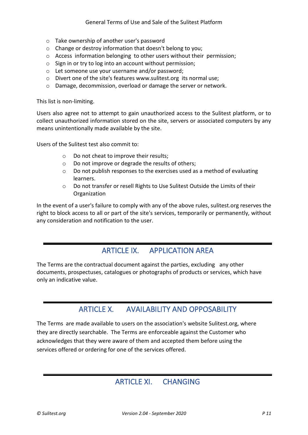- o Take ownership of another user's password
- o Change or destroy information that doesn't belong to you;
- o Access information belonging to other users without their permission;
- o Sign in or try to log into an account without permission;
- o Let someone use your username and/or password;
- o Divert one of the site's features www.sulitest.org its normal use;
- o Damage, decommission, overload or damage the server or network.

This list is non-limiting.

Users also agree not to attempt to gain unauthorized access to the Sulitest platform, or to collect unauthorized information stored on the site, servers or associated computers by any means unintentionally made available by the site.

Users of the Sulitest test also commit to:

- o Do not cheat to improve their results;
- o Do not improve or degrade the results of others;
- $\circ$  Do not publish responses to the exercises used as a method of evaluating learners.
- o Do not transfer or resell Rights to Use Sulitest Outside the Limits of their **Organization**

In the event of a user's failure to comply with any of the above rules, sulitest.org reserves the right to block access to all or part of the site's services, temporarily or permanently, without any consideration and notification to the user.

### ARTICLE IX. APPLICATION AREA

<span id="page-10-0"></span>The Terms are the contractual document against the parties, excluding any other documents, prospectuses, catalogues or photographs of products or services, which have only an indicative value.

### ARTICLE X. AVAILABILITY AND OPPOSABILITY

<span id="page-10-2"></span><span id="page-10-1"></span>The Terms are made available to users on the association's website Sulitest.org, where they are directly searchable. The Terms are enforceable against the Customer who acknowledges that they were aware of them and accepted them before using the services offered or ordering for one of the services offered.

### ARTICLE XI. CHANGING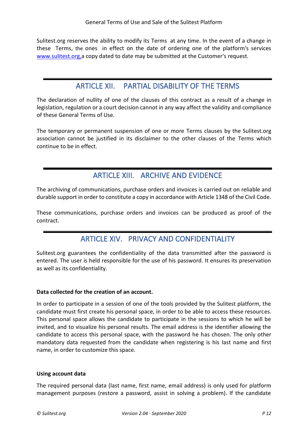Sulitest.org reserves the ability to modify its Terms at any time. In the event of a change in these Terms, the ones in effect on the date of ordering one of the platform's services www.sulitest.org,a copy dated to date may be submitted at the Customer's request.

### ARTICLE XII. PARTIAL DISABILITY OF THE TERMS

<span id="page-11-0"></span>The declaration of nullity of one of the clauses of this contract as a result of a change in legislation, regulation or a court decision cannot in any way affect the validity and compliance of these General Terms of Use.

The temporary or permanent suspension of one or more Terms clauses by the Sulitest.org association cannot be justified in its disclaimer to the other clauses of the Terms which continue to be in effect.

# ARTICLE XIII. ARCHIVE AND EVIDENCE

<span id="page-11-1"></span>The archiving of communications, purchase orders and invoices is carried out on reliable and durable support in order to constitute a copy in accordance with Article 1348 of the Civil Code.

<span id="page-11-2"></span>These communications, purchase orders and invoices can be produced as proof of the contract.

# ARTICLE XIV. PRIVACY AND CONFIDENTIALITY

Sulitest.org guarantees the confidentiality of the data transmitted after the password is entered. The user is held responsible for the use of his password. It ensures its preservation as well as its confidentiality.

#### **Data collected for the creation of an account.**

In order to participate in a session of one of the tools provided by the Sulitest platform, the candidate must first create his personal space, in order to be able to access these resources. This personal space allows the candidate to participate in the sessions to which he will be invited, and to visualize his personal results. The email address is the identifier allowing the candidate to access this personal space, with the password he has chosen. The only other mandatory data requested from the candidate when registering is his last name and first name, in order to customize this space.

#### **Using account data**

The required personal data (last name, first name, email address) is only used for platform management purposes (restore a password, assist in solving a problem). If the candidate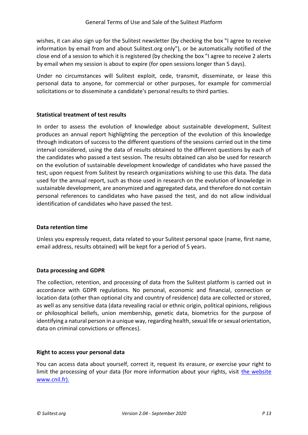wishes, it can also sign up for the Sulitest newsletter (by checking the box "I agree to receive information by email from and about Sulitest.org only"), or be automatically notified of the close end of a session to which it is registered (by checking the box "I agree to receive 2 alerts by email when my session is about to expire (for open sessions longer than 5 days).

Under no circumstances will Sulitest exploit, cede, transmit, disseminate, or lease this personal data to anyone, for commercial or other purposes, for example for commercial solicitations or to disseminate a candidate's personal results to third parties.

#### **Statistical treatment of test results**

In order to assess the evolution of knowledge about sustainable development, Sulitest produces an annual report highlighting the perception of the evolution of this knowledge through indicators of success to the different questions of the sessions carried out in the time interval considered, using the data of results obtained to the different questions by each of the candidates who passed a test session. The results obtained can also be used for research on the evolution of sustainable development knowledge of candidates who have passed the test, upon request from Sulitest by research organizations wishing to use this data. The data used for the annual report, such as those used in research on the evolution of knowledge in sustainable development, are anonymized and aggregated data, and therefore do not contain personal references to candidates who have passed the test, and do not allow individual identification of candidates who have passed the test.

#### **Data retention time**

Unless you expressly request, data related to your Sulitest personal space (name, first name, email address, results obtained) will be kept for a period of 5 years.

#### **Data processing and GDPR**

The collection, retention, and processing of data from the Sulitest platform is carried out in accordance with GDPR regulations. No personal, economic and financial, connection or location data (other than optional city and country of residence) data are collected or stored, as well as any sensitive data (data revealing racial or ethnic origin, political opinions, religious or philosophical beliefs, union membership, genetic data, biometrics for the purpose of identifying a natural person in a unique way, regarding health, sexual life or sexual orientation, data on criminal convictions or offences).

#### **Right to access your personal data**

You can access data about yourself, correct it, request its erasure, or exercise your right to limit the processing of your data (for more information about your rights, visit the website [www.cnil.fr\).](http://www.cnil.fr/)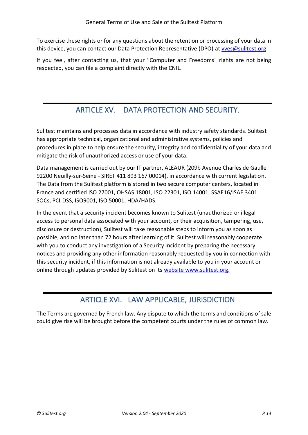To exercise these rights or for any questions about the retention or processing of your data in this device, you can contact our Data Protection Representative (DPO) at [yves@sulitest.org.](mailto:yves@sulitest.org)

If you feel, after contacting us, that your "Computer and Freedoms" rights are not being respected, you can file a complaint directly with the CNIL.

# ARTICLE XV. DATA PROTECTION AND SECURITY.

<span id="page-13-0"></span>Sulitest maintains and processes data in accordance with industry safety standards. Sulitest has appropriate technical, organizational and administrative systems, policies and procedures in place to help ensure the security, integrity and confidentiality of your data and mitigate the risk of unauthorized access or use of your data.

Data management is carried out by our IT partner, ALEAUR (209b Avenue Charles de Gaulle 92200 Neuilly-sur-Seine - SIRET 411 893 167 00014), in accordance with current legislation. The Data from the Sulitest platform is stored in two secure computer centers, located in France and certified ISO 27001, OHSAS 18001, ISO 22301, ISO 14001, SSAE16/ISAE 3401 SOCs, PCI-DSS, ISO9001, ISO 50001, HDA/HADS.

In the event that a security incident becomes known to Sulitest (unauthorized or illegal access to personal data associated with your account, or their acquisition, tampering, use, disclosure or destruction), Sulitest will take reasonable steps to inform you as soon as possible, and no later than 72 hours after learning of it. Sulitest will reasonably cooperate with you to conduct any investigation of a Security Incident by preparing the necessary notices and providing any other information reasonably requested by you in connection with this security incident, if this information is not already available to you in your account or online through updates provided by Sulitest on its [website www.sulitest.org.](http://www.sulitest.org/) 

# ARTICLE XVI. LAW APPLICABLE, JURISDICTION

<span id="page-13-1"></span>The Terms are governed by French law. Any dispute to which the terms and conditions of sale could give rise will be brought before the competent courts under the rules of common law.